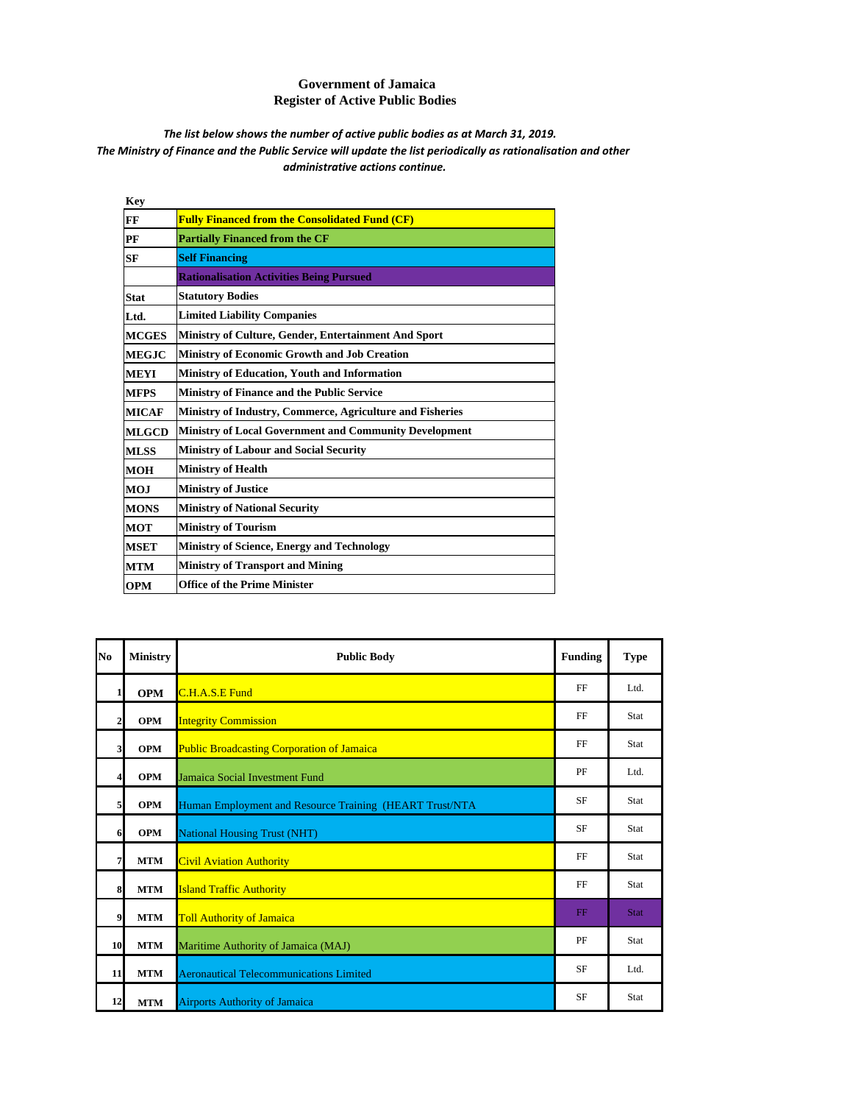## **Government of Jamaica Register of Active Public Bodies**

## The Ministry of Finance and the Public Service will update the list periodically as rationalisation and other *administrative actions continue. The list below shows the number of active public bodies as at March 31, 2019.*

| <b>Key</b>   |                                                               |
|--------------|---------------------------------------------------------------|
| FF           | <b>Fully Financed from the Consolidated Fund (CF)</b>         |
| PF           | <b>Partially Financed from the CF</b>                         |
| <b>SF</b>    | <b>Self Financing</b>                                         |
|              | <b>Rationalisation Activities Being Pursued</b>               |
| <b>Stat</b>  | <b>Statutory Bodies</b>                                       |
| Ltd.         | <b>Limited Liability Companies</b>                            |
| <b>MCGES</b> | Ministry of Culture, Gender, Entertainment And Sport          |
| <b>MEGJC</b> | Ministry of Economic Growth and Job Creation                  |
| <b>MEYI</b>  | <b>Ministry of Education, Youth and Information</b>           |
| <b>MFPS</b>  | <b>Ministry of Finance and the Public Service</b>             |
| <b>MICAF</b> | Ministry of Industry, Commerce, Agriculture and Fisheries     |
| <b>MLGCD</b> | <b>Ministry of Local Government and Community Development</b> |
| <b>MLSS</b>  | <b>Ministry of Labour and Social Security</b>                 |
| <b>MOH</b>   | <b>Ministry of Health</b>                                     |
| MOJ          | <b>Ministry of Justice</b>                                    |
| <b>MONS</b>  | <b>Ministry of National Security</b>                          |
| <b>MOT</b>   | <b>Ministry of Tourism</b>                                    |
| <b>MSET</b>  | <b>Ministry of Science, Energy and Technology</b>             |
| <b>MTM</b>   | <b>Ministry of Transport and Mining</b>                       |
| <b>OPM</b>   | <b>Office of the Prime Minister</b>                           |
|              |                                                               |

| N <sub>0</sub>          | <b>Ministry</b> | <b>Public Body</b>                                      | <b>Funding</b> | <b>Type</b> |
|-------------------------|-----------------|---------------------------------------------------------|----------------|-------------|
| 1                       | <b>OPM</b>      | C.H.A.S.E Fund                                          | FF             | Ltd.        |
| $\overline{2}$          | <b>OPM</b>      | <b>Integrity Commission</b>                             | FF             | Stat        |
| $\mathbf{3}$            | <b>OPM</b>      | <b>Public Broadcasting Corporation of Jamaica</b>       | FF             | Stat        |
| $\overline{\mathbf{4}}$ | <b>OPM</b>      | Jamaica Social Investment Fund                          | PF             | Ltd.        |
| $\overline{5}$          | <b>OPM</b>      | Human Employment and Resource Training (HEART Trust/NTA | <b>SF</b>      | Stat        |
| 6                       | <b>OPM</b>      | <b>National Housing Trust (NHT)</b>                     | <b>SF</b>      | Stat        |
| $\overline{7}$          | <b>MTM</b>      | <b>Civil Aviation Authority</b>                         | FF             | Stat        |
| 8                       | <b>MTM</b>      | <b>Island Traffic Authority</b>                         | FF             | Stat        |
| 9                       | <b>MTM</b>      | <b>Toll Authority of Jamaica</b>                        | $_{\rm FF}$    | <b>Stat</b> |
| 10                      | <b>MTM</b>      | Maritime Authority of Jamaica (MAJ)                     | PF             | Stat        |
| 11                      | <b>MTM</b>      | <b>Aeronautical Telecommunications Limited</b>          | <b>SF</b>      | Ltd.        |
| 12                      | <b>MTM</b>      | <b>Airports Authority of Jamaica</b>                    | <b>SF</b>      | Stat        |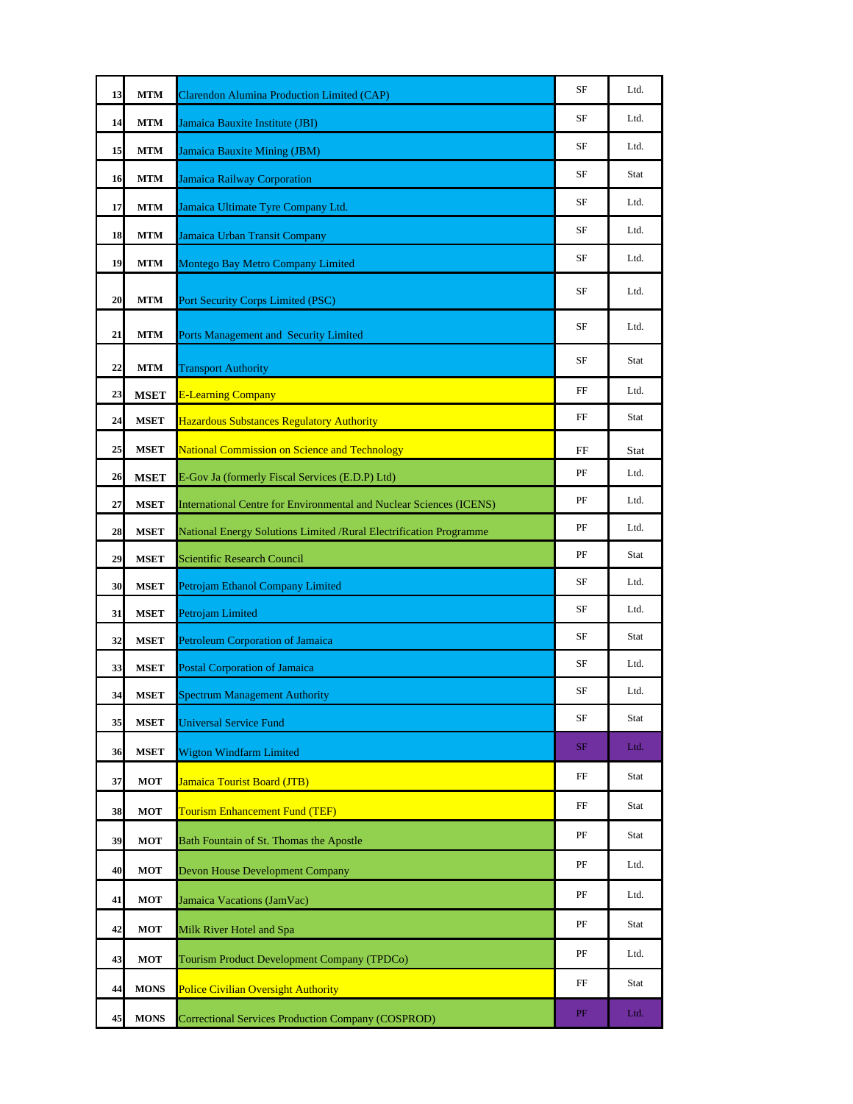| 13 | <b>MTM</b>  | <b>Clarendon Alumina Production Limited (CAP)</b>                          | SF | Ltd. |
|----|-------------|----------------------------------------------------------------------------|----|------|
| 14 | <b>MTM</b>  | Jamaica Bauxite Institute (JBI)                                            | SF | Ltd. |
| 15 | <b>MTM</b>  | Jamaica Bauxite Mining (JBM)                                               | SF | Ltd. |
| 16 | <b>MTM</b>  | <b>Jamaica Railway Corporation</b>                                         | SF | Stat |
| 17 | <b>MTM</b>  | Jamaica Ultimate Tyre Company Ltd.                                         | SF | Ltd. |
| 18 | <b>MTM</b>  | Jamaica Urban Transit Company                                              | SF | Ltd. |
| 19 | <b>MTM</b>  | <b>Montego Bay Metro Company Limited</b>                                   | SF | Ltd. |
| 20 | <b>MTM</b>  | Port Security Corps Limited (PSC)                                          | SF | Ltd. |
| 21 | <b>MTM</b>  | Ports Management and Security Limited                                      | SF | Ltd. |
| 22 | <b>MTM</b>  | <b>Transport Authority</b>                                                 | SF | Stat |
| 23 | <b>MSET</b> | <b>E-Learning Company</b>                                                  | FF | Ltd. |
| 24 | <b>MSET</b> | <b>Hazardous Substances Regulatory Authority</b>                           | FF | Stat |
| 25 | <b>MSET</b> | <b>National Commission on Science and Technology</b>                       | FF | Stat |
| 26 | <b>MSET</b> | E-Gov Ja (formerly Fiscal Services (E.D.P) Ltd)                            | PF | Ltd. |
| 27 | <b>MSET</b> | <b>International Centre for Environmental and Nuclear Sciences (ICENS)</b> | PF | Ltd. |
| 28 | <b>MSET</b> | National Energy Solutions Limited /Rural Electrification Programme         | PF | Ltd. |
| 29 | <b>MSET</b> | <b>Scientific Research Council</b>                                         | PF | Stat |
| 30 | <b>MSET</b> | Petrojam Ethanol Company Limited                                           | SF | Ltd. |
| 31 | <b>MSET</b> | Petrojam Limited                                                           | SF | Ltd. |
| 32 | <b>MSET</b> | <b>Petroleum Corporation of Jamaica</b>                                    | SF | Stat |
| 33 | <b>MSET</b> | <b>Postal Corporation of Jamaica</b>                                       | SF | Ltd. |
| 34 | <b>MSET</b> | <b>Spectrum Management Authority</b>                                       | SF | Ltd. |
| 35 | <b>MSET</b> | <b>Universal Service Fund</b>                                              | SF | Stat |
| 36 | <b>MSET</b> | Wigton Windfarm Limited                                                    | SF | Ltd. |
| 37 | <b>MOT</b>  | Jamaica Tourist Board (JTB)                                                | FF | Stat |
| 38 | <b>MOT</b>  | <b>Tourism Enhancement Fund (TEF)</b>                                      | FF | Stat |
| 39 | <b>MOT</b>  | Bath Fountain of St. Thomas the Apostle                                    | PF | Stat |
| 40 | <b>MOT</b>  | <b>Devon House Development Company</b>                                     | PF | Ltd. |
| 41 | <b>MOT</b>  | Jamaica Vacations (JamVac)                                                 | PF | Ltd. |
| 42 | <b>MOT</b>  | Milk River Hotel and Spa                                                   | PF | Stat |
| 43 | <b>MOT</b>  | Tourism Product Development Company (TPDCo)                                | PF | Ltd. |
| 44 | <b>MONS</b> | <b>Police Civilian Oversight Authority</b>                                 | FF | Stat |
| 45 | <b>MONS</b> | <b>Correctional Services Production Company (COSPROD)</b>                  | PF | Ltd. |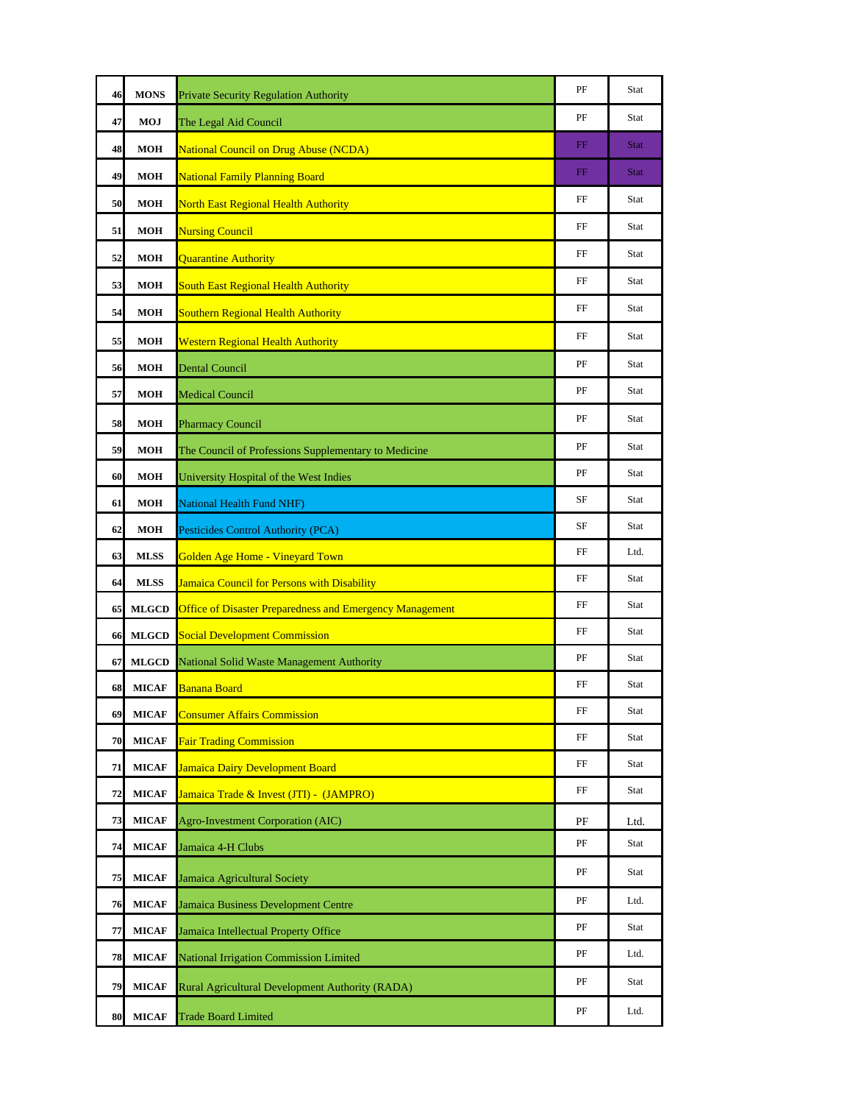| 46 | <b>MONS</b>  | Private Security Regulation Authority                           | PF          | Stat        |
|----|--------------|-----------------------------------------------------------------|-------------|-------------|
| 47 | MOJ          | The Legal Aid Council                                           | PF          | Stat        |
| 48 | <b>MOH</b>   | <b>National Council on Drug Abuse (NCDA)</b>                    | $_{\rm FF}$ | <b>Stat</b> |
| 49 | <b>MOH</b>   | <b>National Family Planning Board</b>                           | FF          | <b>Stat</b> |
| 50 | <b>MOH</b>   | <b>North East Regional Health Authority</b>                     | FF          | Stat        |
| 51 | <b>MOH</b>   | <b>Nursing Council</b>                                          | FF          | Stat        |
| 52 | <b>MOH</b>   | <b>Quarantine Authority</b>                                     | FF          | Stat        |
| 53 | <b>MOH</b>   | <b>South East Regional Health Authority</b>                     | FF          | Stat        |
| 54 | <b>MOH</b>   | <b>Southern Regional Health Authority</b>                       | FF          | Stat        |
| 55 | <b>MOH</b>   | <b>Western Regional Health Authority</b>                        | FF          | Stat        |
| 56 | <b>MOH</b>   | <b>Dental Council</b>                                           | PF          | Stat        |
| 57 | <b>MOH</b>   | <b>Medical Council</b>                                          | PF          | Stat        |
| 58 | <b>MOH</b>   | <b>Pharmacy Council</b>                                         | PF          | Stat        |
| 59 | <b>MOH</b>   | The Council of Professions Supplementary to Medicine            | PF          | Stat        |
| 60 | <b>MOH</b>   | University Hospital of the West Indies                          | PF          | Stat        |
| 61 | <b>MOH</b>   | <b>National Health Fund NHF)</b>                                | SF          | Stat        |
| 62 | <b>MOH</b>   | Pesticides Control Authority (PCA)                              | SF          | Stat        |
| 63 | <b>MLSS</b>  | Golden Age Home - Vineyard Town                                 | FF          | Ltd.        |
| 64 | <b>MLSS</b>  | <b>Jamaica Council for Persons with Disability</b>              | FF          | Stat        |
| 65 | <b>MLGCD</b> | <b>Office of Disaster Preparedness and Emergency Management</b> | FF          | Stat        |
| 66 | <b>MLGCD</b> | <b>Social Development Commission</b>                            | FF          | Stat        |
| 67 | <b>MLGCD</b> | National Solid Waste Management Authority                       | PF          | Stat        |
| 68 | <b>MICAF</b> | <b>Banana Board</b>                                             | FF          | Stat        |
| 69 | <b>MICAF</b> | <b>Consumer Affairs Commission</b>                              | $\rm FF$    | Stat        |
| 70 | <b>MICAF</b> | <b>Fair Trading Commission</b>                                  | FF          | Stat        |
| 71 | <b>MICAF</b> | Jamaica Dairy Development Board                                 | FF          | Stat        |
| 72 | <b>MICAF</b> | Jamaica Trade & Invest (JTI) - (JAMPRO)                         | FF          | Stat        |
| 73 | <b>MICAF</b> | Agro-Investment Corporation (AIC)                               | PF          | Ltd.        |
| 74 | <b>MICAF</b> | Jamaica 4-H Clubs                                               | PF          | Stat        |
| 75 | <b>MICAF</b> | Jamaica Agricultural Society                                    | PF          | Stat        |
| 76 | <b>MICAF</b> | Jamaica Business Development Centre                             | PF          | Ltd.        |
| 77 | <b>MICAF</b> | Jamaica Intellectual Property Office                            | PF          | Stat        |
| 78 | <b>MICAF</b> | National Irrigation Commission Limited                          | PF          | Ltd.        |
| 79 | <b>MICAF</b> | Rural Agricultural Development Authority (RADA)                 | PF          | Stat        |
| 80 | <b>MICAF</b> | <b>Trade Board Limited</b>                                      | PF          | Ltd.        |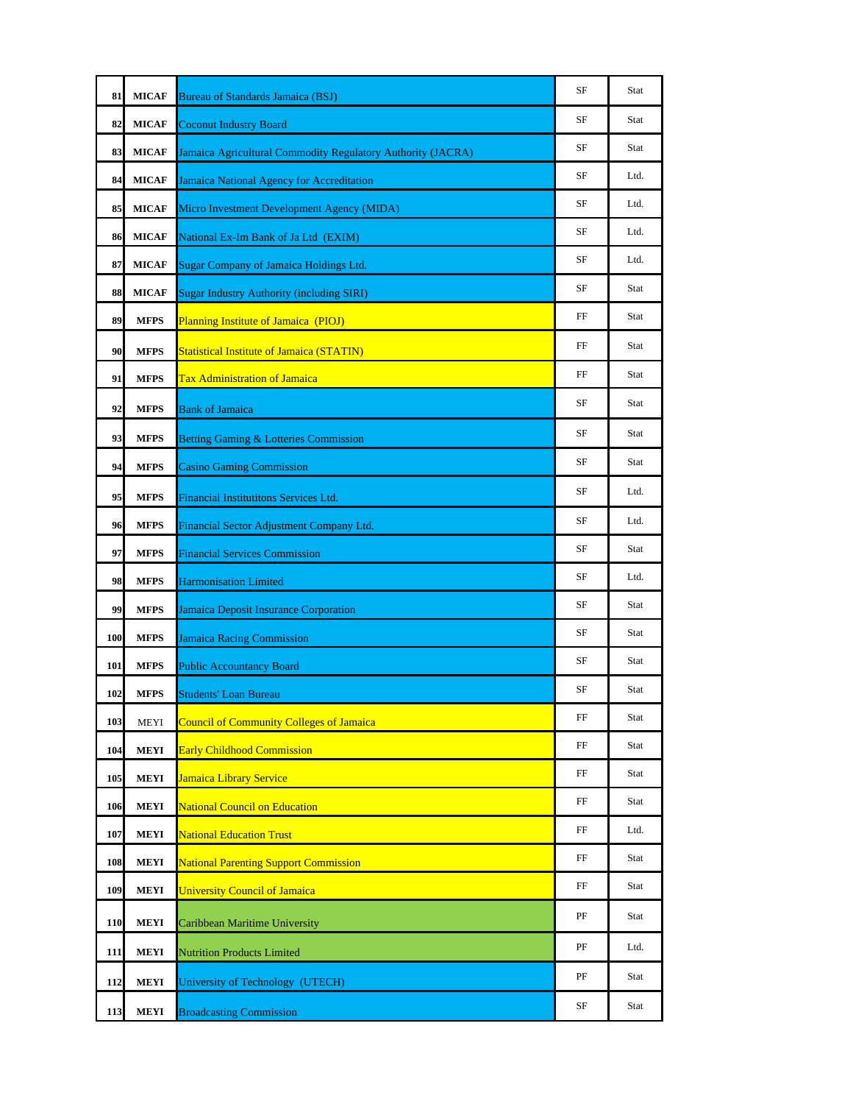| 81  | <b>MICAF</b> | <b>Bureau of Standards Jamaica (BSJ)</b>                    | SF | Stat |
|-----|--------------|-------------------------------------------------------------|----|------|
| 82  | <b>MICAF</b> | <b>Coconut Industry Board</b>                               | SF | Stat |
| 83  | <b>MICAF</b> | Jamaica Agricultural Commodity Regulatory Authority (JACRA) | SF | Stat |
| 84  | <b>MICAF</b> | Jamaica National Agency for Accreditation                   | SF | Ltd. |
| 85  | <b>MICAF</b> | Micro Investment Development Agency (MIDA)                  | SF | Ltd. |
| 86  | <b>MICAF</b> | National Ex-Im Bank of Ja Ltd (EXIM)                        | SF | Ltd. |
| 87  | <b>MICAF</b> | Sugar Company of Jamaica Holdings Ltd.                      | SF | Ltd. |
| 88  | <b>MICAF</b> | <b>Sugar Industry Authority (including SIRI)</b>            | SF | Stat |
| 89  | <b>MFPS</b>  | Planning Institute of Jamaica (PIOJ)                        | FF | Stat |
| 90  | <b>MFPS</b>  | <b>Statistical Institute of Jamaica (STATIN)</b>            | FF | Stat |
| 91  | <b>MFPS</b>  | <b>Tax Administration of Jamaica</b>                        | FF | Stat |
| 92  | MFPS         | <b>Bank of Jamaica</b>                                      | SF | Stat |
| 93  | <b>MFPS</b>  | <b>Betting Gaming &amp; Lotteries Commission</b>            | SF | Stat |
| 94  | <b>MFPS</b>  | <b>Casino Gaming Commission</b>                             | SF | Stat |
| 95  | <b>MFPS</b>  | <b>Financial Institutitons Services Ltd.</b>                | SF | Ltd. |
| 96  | <b>MFPS</b>  | Financial Sector Adjustment Company Ltd.                    | SF | Ltd. |
| 97  | <b>MFPS</b>  | <b>Financial Services Commission</b>                        | SF | Stat |
| 98  | <b>MFPS</b>  | <b>Harmonisation Limited</b>                                | SF | Ltd. |
| 99  | MFPS         | Jamaica Deposit Insurance Corporation                       | SF | Stat |
| 100 | <b>MFPS</b>  | <b>Jamaica Racing Commission</b>                            | SF | Stat |
| 101 | MFPS         | <b>Public Accountancy Board</b>                             | SF | Stat |
| 102 | <b>MFPS</b>  | Students' Loan Bureau                                       | SF | Stat |
| 103 | <b>MEYI</b>  | <b>Council of Community Colleges of Jamaica</b>             | FF | Stat |
| 104 | <b>MEYI</b>  | <b>Early Childhood Commission</b>                           | FF | Stat |
| 105 | <b>MEYI</b>  | Jamaica Library Service                                     | FF | Stat |
| 106 | MEYI         | <b>National Council on Education</b>                        | FF | Stat |
| 107 | <b>MEYI</b>  | <b>National Education Trust</b>                             | FF | Ltd. |
| 108 | MEYI         | <b>National Parenting Support Commission</b>                | FF | Stat |
| 109 | MEYI         | <b>University Council of Jamaica</b>                        | FF | Stat |
| 110 | MEYI         | Caribbean Maritime University                               | PF | Stat |
| 111 | <b>MEYI</b>  | <b>Nutrition Products Limited</b>                           | PF | Ltd. |
| 112 | MEYI         | University of Technology (UTECH)                            | PF | Stat |
| 113 | MEYI         | <b>Broadcasting Commission</b>                              | SF | Stat |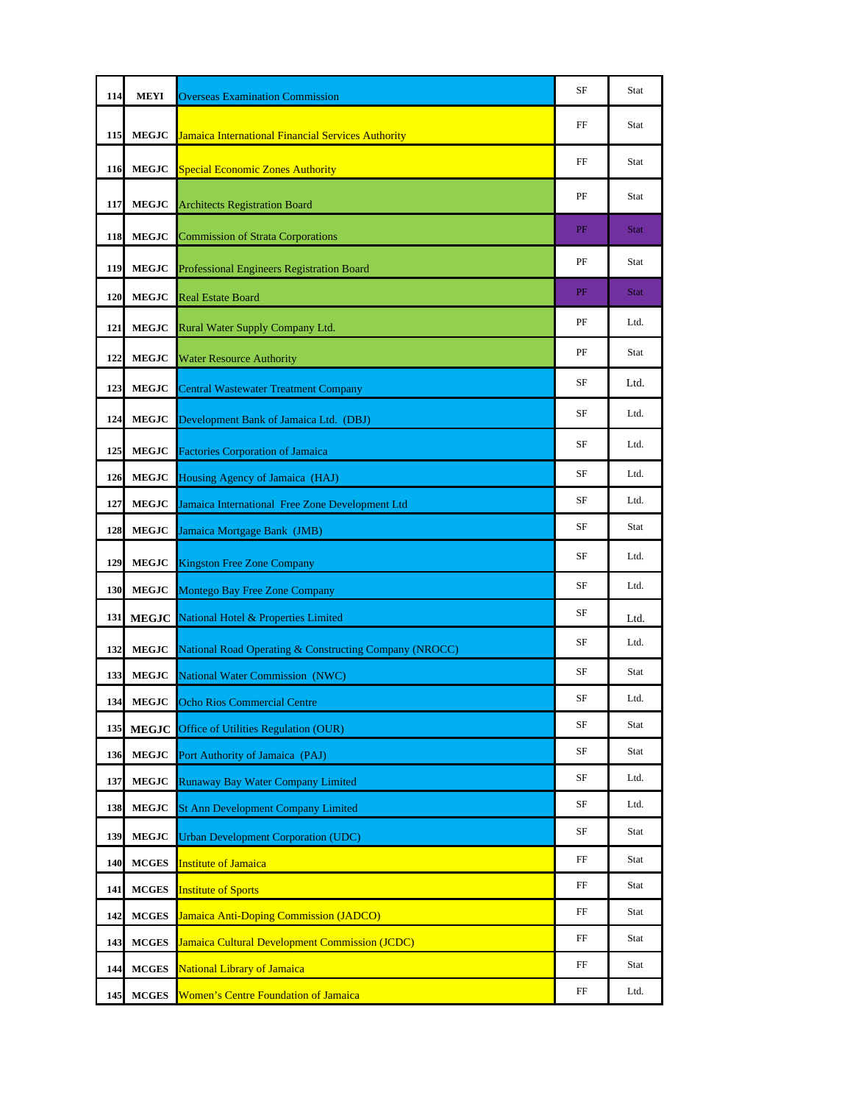| 114 | MEYI          | <b>Overseas Examination Commission</b>                    | SF       | Stat        |
|-----|---------------|-----------------------------------------------------------|----------|-------------|
| 115 | <b>MEGJC</b>  | <b>Jamaica International Financial Services Authority</b> | FF       | Stat        |
| 116 | <b>MEGJC</b>  | <b>Special Economic Zones Authority</b>                   | FF       | Stat        |
| 117 | <b>MEGJC</b>  | <b>Architects Registration Board</b>                      | PF       | Stat        |
| 118 | <b>MEGJC</b>  | <b>Commission of Strata Corporations</b>                  | PF       | <b>Stat</b> |
| 119 | <b>MEGJC</b>  | Professional Engineers Registration Board                 | PF       | Stat        |
| 120 | <b>MEGJC</b>  | <b>Real Estate Board</b>                                  | PF       | <b>Stat</b> |
| 121 | <b>MEGJC</b>  | Rural Water Supply Company Ltd.                           | PF       | Ltd.        |
| 122 | <b>MEGJC</b>  | <b>Water Resource Authority</b>                           | PF       | Stat        |
| 123 | <b>MEGJC</b>  | <b>Central Wastewater Treatment Company</b>               | SF       | Ltd.        |
| 124 | <b>MEGJC</b>  | Development Bank of Jamaica Ltd. (DBJ)                    | SF       | Ltd.        |
| 125 | <b>MEGJC</b>  | <b>Factories Corporation of Jamaica</b>                   | SF       | Ltd.        |
| 126 | <b>MEGJC</b>  | Housing Agency of Jamaica (HAJ)                           | SF       | Ltd.        |
| 127 | <b>MEGJC</b>  | Jamaica International Free Zone Development Ltd           | SF       | Ltd.        |
| 128 | <b>MEGJC</b>  | Jamaica Mortgage Bank (JMB)                               | SF       | Stat        |
| 129 | <b>MEGJC</b>  | <b>Kingston Free Zone Company</b>                         | SF       | Ltd.        |
| 130 | <b>MEGJC</b>  | Montego Bay Free Zone Company                             | SF       | Ltd.        |
| 131 | <b>MEGJC</b>  | National Hotel & Properties Limited                       | SF       | Ltd.        |
| 132 | <b>MEGJC</b>  | National Road Operating & Constructing Company (NROCC)    | SF       | Ltd.        |
| 133 | <b>MEGJC</b>  | <b>National Water Commission (NWC)</b>                    | SF       | Stat        |
| 134 | ${\bf MEGJC}$ | <b>Ocho Rios Commercial Centre</b>                        | $\rm SF$ | Ltd.        |
| 135 | <b>MEGJC</b>  | Office of Utilities Regulation (OUR)                      | SF       | Stat        |
| 136 | <b>MEGJC</b>  | Port Authority of Jamaica (PAJ)                           | SF       | Stat        |
| 137 | <b>MEGJC</b>  | Runaway Bay Water Company Limited                         | SF       | Ltd.        |
| 138 | <b>MEGJC</b>  | <b>St Ann Development Company Limited</b>                 | SF       | Ltd.        |
| 139 | <b>MEGJC</b>  | <b>Urban Development Corporation (UDC)</b>                | SF       | Stat        |
| 140 | <b>MCGES</b>  | <b>Institute of Jamaica</b>                               | FF       | Stat        |
| 141 | <b>MCGES</b>  | <b>Institute of Sports</b>                                | FF       | Stat        |
| 142 | <b>MCGES</b>  | <b>Jamaica Anti-Doping Commission (JADCO)</b>             | FF       | Stat        |
| 143 | <b>MCGES</b>  | <b>Jamaica Cultural Development Commission (JCDC)</b>     | FF       | Stat        |
| 144 | <b>MCGES</b>  | <b>National Library of Jamaica</b>                        | FF       | Stat        |
| 145 | <b>MCGES</b>  | <b>Women's Centre Foundation of Jamaica</b>               | FF       | Ltd.        |